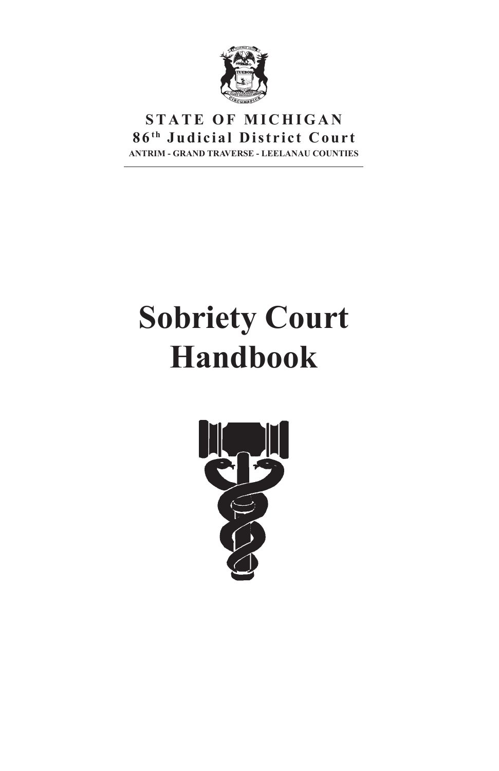

# **STATE OF MICHIGAN**  $86<sup>th</sup>$  Judicial District Court **ANTRIM - GRAND TRAVERSE - LEELANAU COUNTIES**

# **Sobriety Court Handbook**

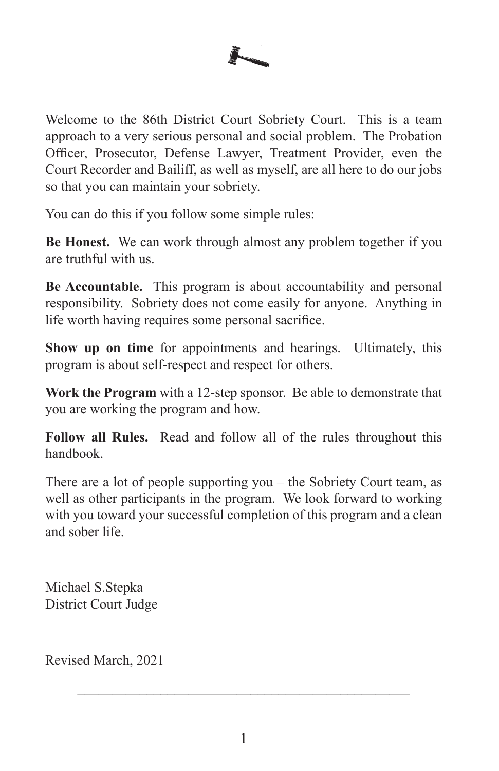

Welcome to the 86th District Court Sobriety Court. This is a team approach to a very serious personal and social problem. The Probation Officer, Prosecutor, Defense Lawyer, Treatment Provider, even the Court Recorder and Bailiff, as well as myself, are all here to do our jobs so that you can maintain your sobriety.

You can do this if you follow some simple rules:

**Be Honest.** We can work through almost any problem together if you are truthful with us.

**Be Accountable.** This program is about accountability and personal responsibility. Sobriety does not come easily for anyone. Anything in life worth having requires some personal sacrifice.

**Show up on time** for appointments and hearings. Ultimately, this program is about self-respect and respect for others.

**Work the Program** with a 12-step sponsor. Be able to demonstrate that you are working the program and how.

**Follow all Rules.** Read and follow all of the rules throughout this handbook.

There are a lot of people supporting you – the Sobriety Court team, as well as other participants in the program. We look forward to working with you toward your successful completion of this program and a clean and sober life.

Michael S.Stepka District Court Judge

Revised March, 2021

\_\_\_\_\_\_\_\_\_\_\_\_\_\_\_\_\_\_\_\_\_\_\_\_\_\_\_\_\_\_\_\_\_\_\_\_\_\_\_\_\_\_\_\_\_\_\_\_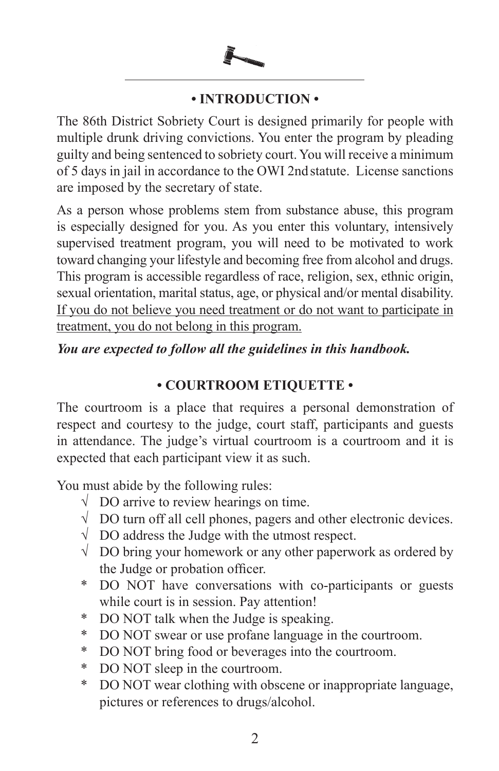

# **• INTRODUCTION •**

The 86th District Sobriety Court is designed primarily for people with multiple drunk driving convictions. You enter the program by pleading guilty and being sentenced to sobriety court. You will receive a minimum of 5 days in jail in accordance to the OWI 2nd statute. License sanctions are imposed by the secretary of state.

As a person whose problems stem from substance abuse, this program is especially designed for you. As you enter this voluntary, intensively supervised treatment program, you will need to be motivated to work toward changing your lifestyle and becoming free from alcohol and drugs. This program is accessible regardless of race, religion, sex, ethnic origin, sexual orientation, marital status, age, or physical and/or mental disability. If you do not believe you need treatment or do not want to participate in treatment, you do not belong in this program.

### *You are expected to follow all the guidelines in this handbook.*

#### **• COURTROOM ETIQUETTE •**

The courtroom is a place that requires a personal demonstration of respect and courtesy to the judge, court staff, participants and guests in attendance. The judge's virtual courtroom is a courtroom and it is expected that each participant view it as such.

You must abide by the following rules:

- $\sqrt{\phantom{a}}$  DO arrive to review hearings on time.
- $\sqrt{\phantom{a}}$  DO turn off all cell phones, pagers and other electronic devices.
- $\sqrt{\phantom{a}}$  DO address the Judge with the utmost respect.
- √ DO bring your homework or any other paperwork as ordered by the Judge or probation officer.
- \* DO NOT have conversations with co-participants or guests while court is in session. Pay attention!
- \* DO NOT talk when the Judge is speaking.
- \* DO NOT swear or use profane language in the courtroom.
- \* DO NOT bring food or beverages into the courtroom.
- \* DO NOT sleep in the courtroom.
- \* DO NOT wear clothing with obscene or inappropriate language, pictures or references to drugs/alcohol.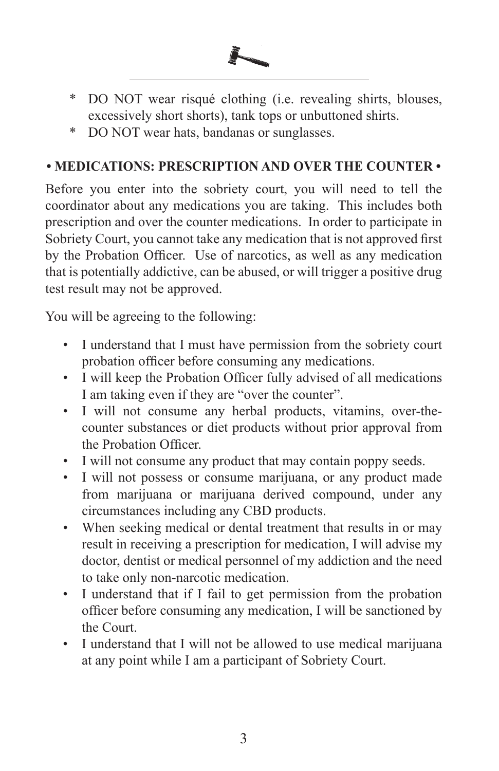

- \* DO NOT wear risqué clothing (i.e. revealing shirts, blouses, excessively short shorts), tank tops or unbuttoned shirts.
- \* DO NOT wear hats, bandanas or sunglasses.

# **• MEDICATIONS: PRESCRIPTION AND OVER THE COUNTER •**

Before you enter into the sobriety court, you will need to tell the coordinator about any medications you are taking. This includes both prescription and over the counter medications. In order to participate in Sobriety Court, you cannot take any medication that is not approved first by the Probation Officer. Use of narcotics, as well as any medication that is potentially addictive, can be abused, or will trigger a positive drug test result may not be approved.

You will be agreeing to the following:

- I understand that I must have permission from the sobriety court probation officer before consuming any medications.
- I will keep the Probation Officer fully advised of all medications I am taking even if they are "over the counter".
- I will not consume any herbal products, vitamins, over-thecounter substances or diet products without prior approval from the Probation Officer.
- I will not consume any product that may contain poppy seeds.
- I will not possess or consume marijuana, or any product made from marijuana or marijuana derived compound, under any circumstances including any CBD products.
- When seeking medical or dental treatment that results in or may result in receiving a prescription for medication, I will advise my doctor, dentist or medical personnel of my addiction and the need to take only non-narcotic medication.
- I understand that if I fail to get permission from the probation officer before consuming any medication, I will be sanctioned by the Court.
- I understand that I will not be allowed to use medical marijuana at any point while I am a participant of Sobriety Court.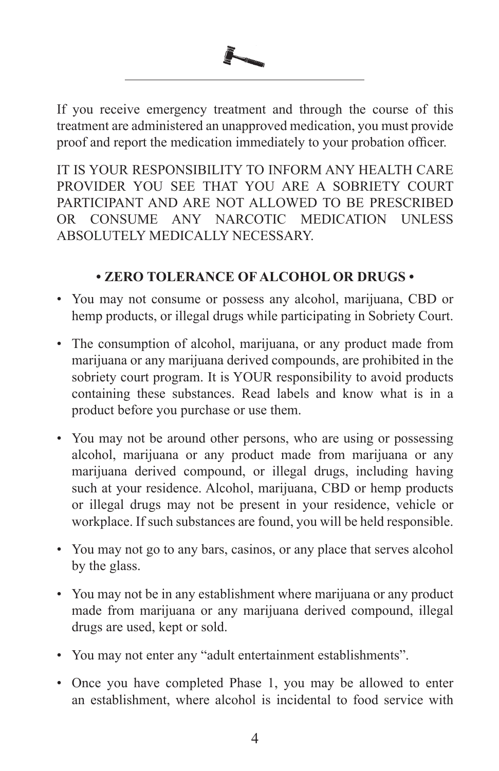

If you receive emergency treatment and through the course of this treatment are administered an unapproved medication, you must provide proof and report the medication immediately to your probation officer.

IT IS YOUR RESPONSIBILITY TO INFORM ANY HEALTH CARE PROVIDER YOU SEE THAT YOU ARE A SOBRIETY COURT PARTICIPANT AND ARE NOT ALLOWED TO BE PRESCRIBED OR CONSUME ANY NARCOTIC MEDICATION UNLESS ABSOLUTELY MEDICALLY NECESSARY.

# **• ZERO TOLERANCE OF ALCOHOL OR DRUGS •**

- You may not consume or possess any alcohol, marijuana, CBD or hemp products, or illegal drugs while participating in Sobriety Court.
- The consumption of alcohol, marijuana, or any product made from marijuana or any marijuana derived compounds, are prohibited in the sobriety court program. It is YOUR responsibility to avoid products containing these substances. Read labels and know what is in a product before you purchase or use them.
- You may not be around other persons, who are using or possessing alcohol, marijuana or any product made from marijuana or any marijuana derived compound, or illegal drugs, including having such at your residence. Alcohol, marijuana, CBD or hemp products or illegal drugs may not be present in your residence, vehicle or workplace. If such substances are found, you will be held responsible.
- You may not go to any bars, casinos, or any place that serves alcohol by the glass.
- You may not be in any establishment where marijuana or any product made from marijuana or any marijuana derived compound, illegal drugs are used, kept or sold.
- You may not enter any "adult entertainment establishments".
- Once you have completed Phase 1, you may be allowed to enter an establishment, where alcohol is incidental to food service with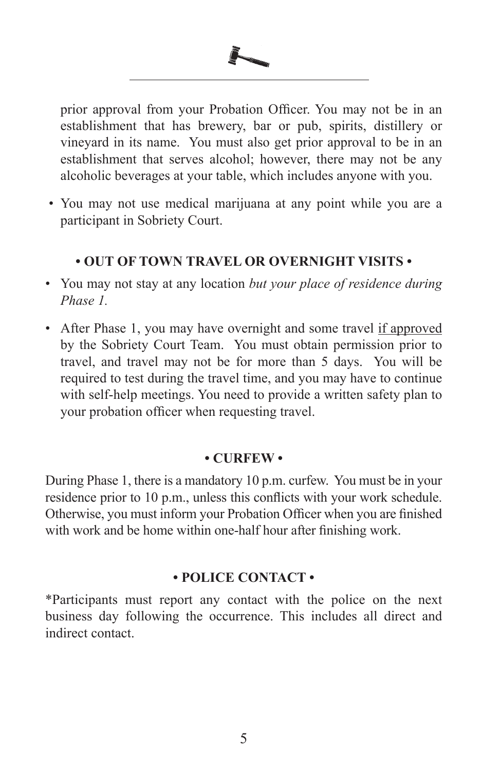

prior approval from your Probation Officer. You may not be in an establishment that has brewery, bar or pub, spirits, distillery or vineyard in its name. You must also get prior approval to be in an establishment that serves alcohol; however, there may not be any alcoholic beverages at your table, which includes anyone with you.

 • You may not use medical marijuana at any point while you are a participant in Sobriety Court.

### **• OUT OF TOWN TRAVEL OR OVERNIGHT VISITS •**

- You may not stay at any location *but your place of residence during Phase 1.*
- After Phase 1, you may have overnight and some travel if approved by the Sobriety Court Team. You must obtain permission prior to travel, and travel may not be for more than 5 days. You will be required to test during the travel time, and you may have to continue with self-help meetings. You need to provide a written safety plan to your probation officer when requesting travel.

#### **• CURFEW •**

During Phase 1, there is a mandatory 10 p.m. curfew. You must be in your residence prior to 10 p.m., unless this conflicts with your work schedule. Otherwise, you must inform your Probation Officer when you are finished with work and be home within one-half hour after finishing work.

### **• POLICE CONTACT •**

\*Participants must report any contact with the police on the next business day following the occurrence. This includes all direct and indirect contact.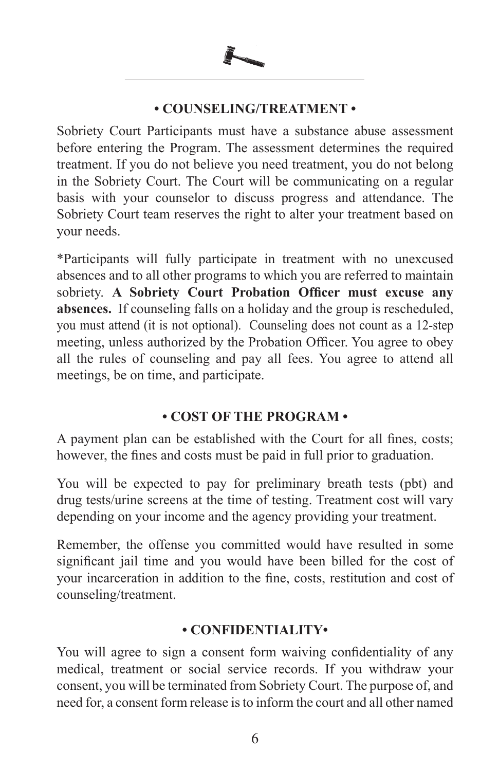

#### **• COUNSELING/TREATMENT •**

Sobriety Court Participants must have a substance abuse assessment before entering the Program. The assessment determines the required treatment. If you do not believe you need treatment, you do not belong in the Sobriety Court. The Court will be communicating on a regular basis with your counselor to discuss progress and attendance. The Sobriety Court team reserves the right to alter your treatment based on your needs.

\*Participants will fully participate in treatment with no unexcused absences and to all other programs to which you are referred to maintain sobriety. **A Sobriety Court Probation Officer must excuse any absences.** If counseling falls on a holiday and the group is rescheduled, you must attend (it is not optional). Counseling does not count as a 12-step meeting, unless authorized by the Probation Officer. You agree to obey all the rules of counseling and pay all fees. You agree to attend all meetings, be on time, and participate.

# **• COST OF THE PROGRAM •**

A payment plan can be established with the Court for all fines, costs; however, the fines and costs must be paid in full prior to graduation.

You will be expected to pay for preliminary breath tests (pbt) and drug tests/urine screens at the time of testing. Treatment cost will vary depending on your income and the agency providing your treatment.

Remember, the offense you committed would have resulted in some significant jail time and you would have been billed for the cost of your incarceration in addition to the fine, costs, restitution and cost of counseling/treatment.

# **• CONFIDENTIALITY•**

You will agree to sign a consent form waiving confidentiality of any medical, treatment or social service records. If you withdraw your consent, you will be terminated from Sobriety Court. The purpose of, and need for, a consent form release is to inform the court and all other named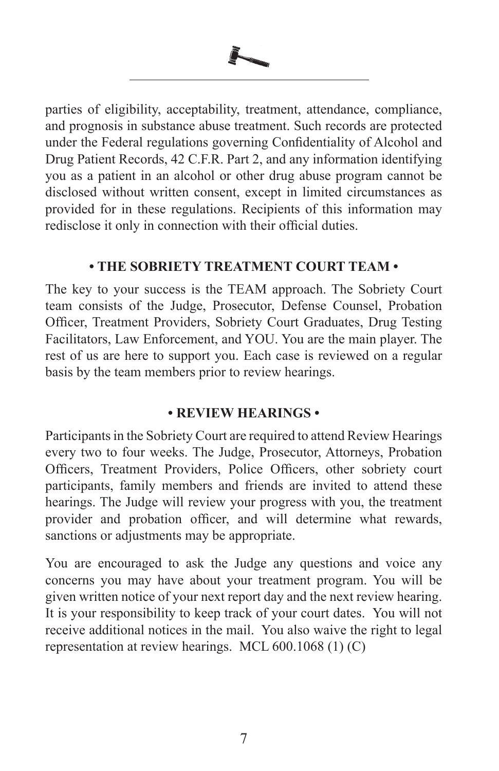

parties of eligibility, acceptability, treatment, attendance, compliance, and prognosis in substance abuse treatment. Such records are protected under the Federal regulations governing Confidentiality of Alcohol and Drug Patient Records, 42 C.F.R. Part 2, and any information identifying you as a patient in an alcohol or other drug abuse program cannot be disclosed without written consent, except in limited circumstances as provided for in these regulations. Recipients of this information may redisclose it only in connection with their official duties.

#### **• THE SOBRIETY TREATMENT COURT TEAM •**

The key to your success is the TEAM approach. The Sobriety Court team consists of the Judge, Prosecutor, Defense Counsel, Probation Officer, Treatment Providers, Sobriety Court Graduates, Drug Testing Facilitators, Law Enforcement, and YOU. You are the main player. The rest of us are here to support you. Each case is reviewed on a regular basis by the team members prior to review hearings.

### **• REVIEW HEARINGS •**

Participants in the Sobriety Court are required to attend Review Hearings every two to four weeks. The Judge, Prosecutor, Attorneys, Probation Officers, Treatment Providers, Police Officers, other sobriety court participants, family members and friends are invited to attend these hearings. The Judge will review your progress with you, the treatment provider and probation officer, and will determine what rewards, sanctions or adjustments may be appropriate.

You are encouraged to ask the Judge any questions and voice any concerns you may have about your treatment program. You will be given written notice of your next report day and the next review hearing. It is your responsibility to keep track of your court dates. You will not receive additional notices in the mail. You also waive the right to legal representation at review hearings. MCL 600.1068 (1) (C)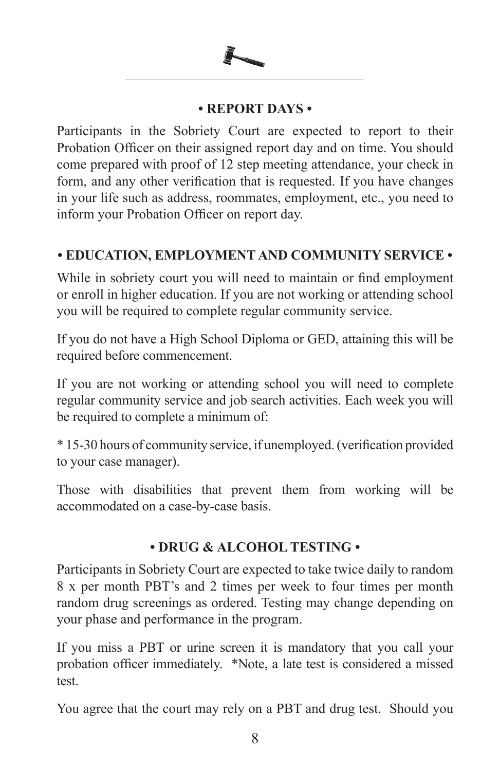

#### **• REPORT DAYS •**

Participants in the Sobriety Court are expected to report to their Probation Officer on their assigned report day and on time. You should come prepared with proof of 12 step meeting attendance, your check in form, and any other verification that is requested. If you have changes in your life such as address, roommates, employment, etc., you need to inform your Probation Officer on report day.

# **• EDUCATION, EMPLOYMENT AND COMMUNITY SERVICE •**

While in sobriety court you will need to maintain or find employment or enroll in higher education. If you are not working or attending school you will be required to complete regular community service.

If you do not have a High School Diploma or GED, attaining this will be required before commencement.

If you are not working or attending school you will need to complete regular community service and job search activities. Each week you will be required to complete a minimum of:

\* 15-30 hours of community service, if unemployed. (verification provided to your case manager).

Those with disabilities that prevent them from working will be accommodated on a case-by-case basis.

### **• DRUG & ALCOHOL TESTING •**

Participants in Sobriety Court are expected to take twice daily to random 8 x per month PBT's and 2 times per week to four times per month random drug screenings as ordered. Testing may change depending on your phase and performance in the program.

If you miss a PBT or urine screen it is mandatory that you call your probation officer immediately. \*Note, a late test is considered a missed test.

You agree that the court may rely on a PBT and drug test. Should you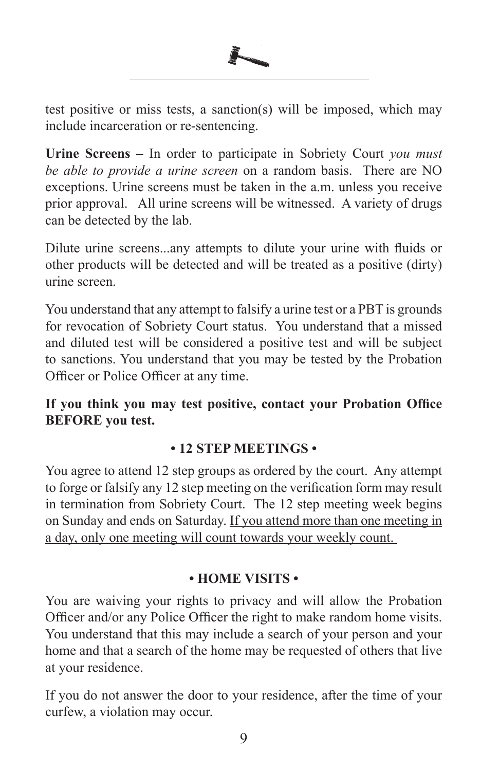

test positive or miss tests, a sanction(s) will be imposed, which may include incarceration or re-sentencing.

**Urine Screens –** In order to participate in Sobriety Court *you must be able to provide a urine screen* on a random basis. There are NO exceptions. Urine screens must be taken in the a.m. unless you receive prior approval. All urine screens will be witnessed. A variety of drugs can be detected by the lab.

Dilute urine screens...any attempts to dilute your urine with fluids or other products will be detected and will be treated as a positive (dirty) urine screen.

You understand that any attempt to falsify a urine test or a PBT is grounds for revocation of Sobriety Court status. You understand that a missed and diluted test will be considered a positive test and will be subject to sanctions. You understand that you may be tested by the Probation Officer or Police Officer at any time.

**If you think you may test positive, contact your Probation Office BEFORE you test.** 

### **• 12 STEP MEETINGS •**

You agree to attend 12 step groups as ordered by the court. Any attempt to forge or falsify any 12 step meeting on the verification form may result in termination from Sobriety Court. The 12 step meeting week begins on Sunday and ends on Saturday. If you attend more than one meeting in a day, only one meeting will count towards your weekly count.

### **• HOME VISITS •**

You are waiving your rights to privacy and will allow the Probation Officer and/or any Police Officer the right to make random home visits. You understand that this may include a search of your person and your home and that a search of the home may be requested of others that live at your residence.

If you do not answer the door to your residence, after the time of your curfew, a violation may occur.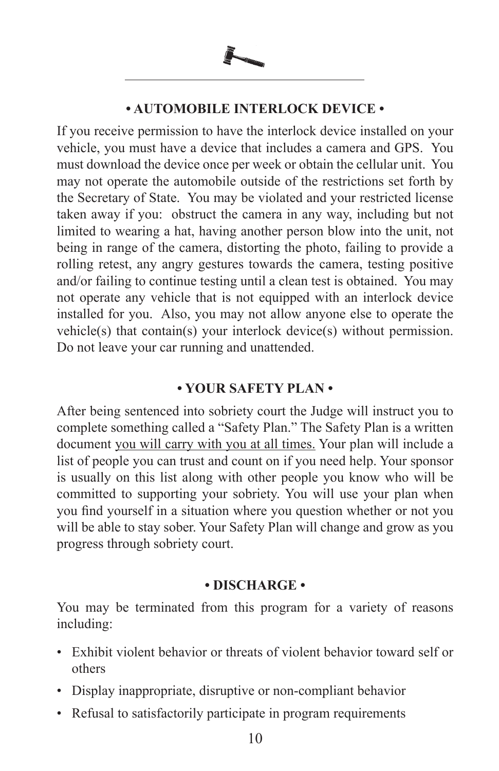

#### **• AUTOMOBILE INTERLOCK DEVICE •**

If you receive permission to have the interlock device installed on your vehicle, you must have a device that includes a camera and GPS. You must download the device once per week or obtain the cellular unit. You may not operate the automobile outside of the restrictions set forth by the Secretary of State. You may be violated and your restricted license taken away if you: obstruct the camera in any way, including but not limited to wearing a hat, having another person blow into the unit, not being in range of the camera, distorting the photo, failing to provide a rolling retest, any angry gestures towards the camera, testing positive and/or failing to continue testing until a clean test is obtained. You may not operate any vehicle that is not equipped with an interlock device installed for you. Also, you may not allow anyone else to operate the vehicle(s) that contain(s) your interlock device(s) without permission. Do not leave your car running and unattended.

### **• YOUR SAFETY PLAN •**

After being sentenced into sobriety court the Judge will instruct you to complete something called a "Safety Plan." The Safety Plan is a written document you will carry with you at all times. Your plan will include a list of people you can trust and count on if you need help. Your sponsor is usually on this list along with other people you know who will be committed to supporting your sobriety. You will use your plan when you find yourself in a situation where you question whether or not you will be able to stay sober. Your Safety Plan will change and grow as you progress through sobriety court.

#### **• DISCHARGE •**

You may be terminated from this program for a variety of reasons including:

- Exhibit violent behavior or threats of violent behavior toward self or others
- Display inappropriate, disruptive or non-compliant behavior
- Refusal to satisfactorily participate in program requirements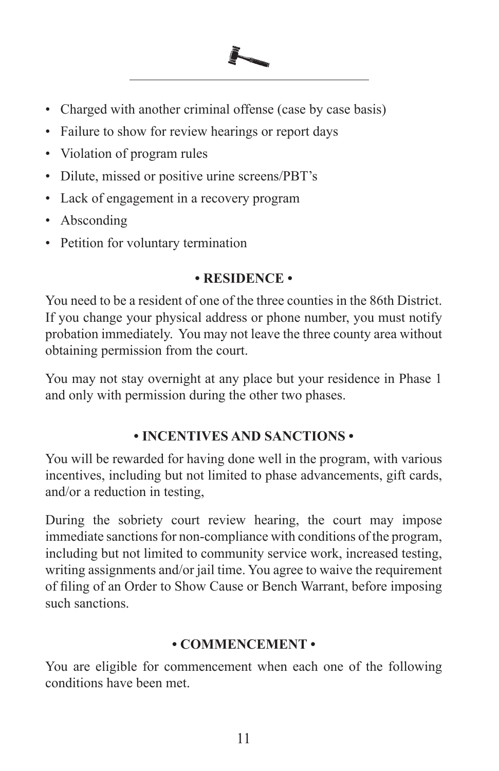- Charged with another criminal offense (case by case basis)
- Failure to show for review hearings or report days
- Violation of program rules
- Dilute, missed or positive urine screens/PBT's
- Lack of engagement in a recovery program
- Absconding
- Petition for voluntary termination

#### **• RESIDENCE •**

You need to be a resident of one of the three counties in the 86th District. If you change your physical address or phone number, you must notify probation immediately. You may not leave the three county area without obtaining permission from the court.

You may not stay overnight at any place but your residence in Phase 1 and only with permission during the other two phases.

#### **• INCENTIVES AND SANCTIONS •**

You will be rewarded for having done well in the program, with various incentives, including but not limited to phase advancements, gift cards, and/or a reduction in testing,

During the sobriety court review hearing, the court may impose immediate sanctions for non-compliance with conditions of the program, including but not limited to community service work, increased testing, writing assignments and/or jail time. You agree to waive the requirement of filing of an Order to Show Cause or Bench Warrant, before imposing such sanctions.

#### **• COMMENCEMENT •**

You are eligible for commencement when each one of the following conditions have been met.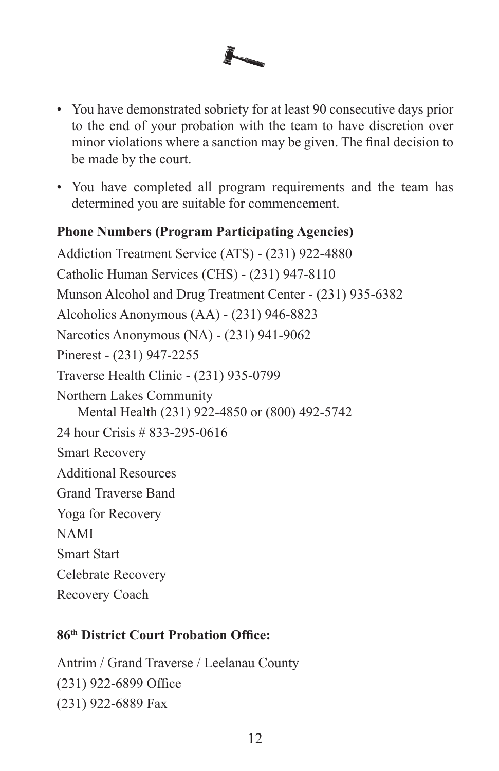

- You have demonstrated sobriety for at least 90 consecutive days prior to the end of your probation with the team to have discretion over minor violations where a sanction may be given. The final decision to be made by the court.
- You have completed all program requirements and the team has determined you are suitable for commencement.

### **Phone Numbers (Program Participating Agencies)**

Addiction Treatment Service (ATS) - (231) 922-4880 Catholic Human Services (CHS) - (231) 947-8110 Munson Alcohol and Drug Treatment Center - (231) 935-6382 Alcoholics Anonymous (AA) - (231) 946-8823 Narcotics Anonymous (NA) - (231) 941-9062 Pinerest - (231) 947-2255 Traverse Health Clinic - (231) 935-0799 Northern Lakes Community Mental Health (231) 922-4850 or (800) 492-5742 24 hour Crisis # 833-295-0616 Smart Recovery Additional Resources Grand Traverse Band Yoga for Recovery NAMI Smart Start Celebrate Recovery Recovery Coach

#### **86th District Court Probation Office:**

Antrim / Grand Traverse / Leelanau County (231) 922-6899 Office (231) 922-6889 Fax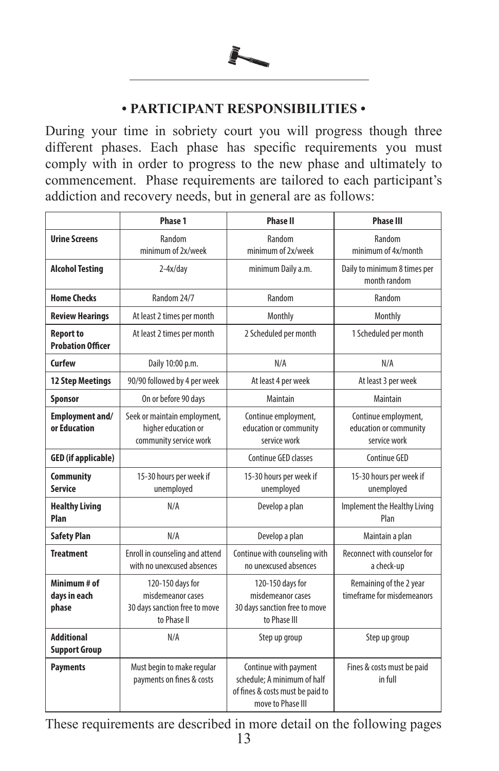

#### **• PARTICIPANT RESPONSIBILITIES •**

During your time in sobriety court you will progress though three different phases. Each phase has specific requirements you must comply with in order to progress to the new phase and ultimately to commencement. Phase requirements are tailored to each participant's addiction and recovery needs, but in general are as follows:

|                                              | Phase 1                                                                               | <b>Phase II</b>                                                                                               | <b>Phase III</b>                                               |
|----------------------------------------------|---------------------------------------------------------------------------------------|---------------------------------------------------------------------------------------------------------------|----------------------------------------------------------------|
| <b>Urine Screens</b>                         | Random<br>minimum of 2x/week                                                          | Random<br>minimum of 2x/week                                                                                  | Random<br>minimum of 4x/month                                  |
| <b>Alcohol Testing</b>                       | $2-4x/day$                                                                            | minimum Daily a.m.                                                                                            | Daily to minimum 8 times per<br>month random                   |
| <b>Home Checks</b>                           | Random 24/7                                                                           | Random                                                                                                        | Random                                                         |
| <b>Review Hearings</b>                       | At least 2 times per month                                                            | Monthly                                                                                                       | Monthly                                                        |
| <b>Report to</b><br><b>Probation Officer</b> | At least 2 times per month                                                            | 2 Scheduled per month                                                                                         | 1 Scheduled per month                                          |
| Curfew                                       | Daily 10:00 p.m.                                                                      | N/A                                                                                                           | N/A                                                            |
| <b>12 Step Meetings</b>                      | 90/90 followed by 4 per week                                                          | At least 4 per week                                                                                           | At least 3 per week                                            |
| Sponsor                                      | On or before 90 days                                                                  | Maintain                                                                                                      | Maintain                                                       |
| <b>Employment and/</b><br>or Education       | Seek or maintain employment,<br>higher education or<br>community service work         | Continue employment,<br>education or community<br>service work                                                | Continue employment,<br>education or community<br>service work |
| <b>GED</b> (if applicable)                   |                                                                                       | Continue GED classes                                                                                          | Continue GED                                                   |
| <b>Community</b><br>Service                  | 15-30 hours per week if<br>unemployed                                                 | 15-30 hours per week if<br>unemployed                                                                         | 15-30 hours per week if<br>unemployed                          |
| <b>Healthy Living</b><br>Plan                | N/A                                                                                   | Develop a plan                                                                                                | Implement the Healthy Living<br>Plan                           |
| <b>Safety Plan</b>                           | N/A                                                                                   | Develop a plan                                                                                                | Maintain a plan                                                |
| <b>Treatment</b>                             | Enroll in counseling and attend<br>with no unexcused absences                         | Continue with counseling with<br>no unexcused absences                                                        | Reconnect with counselor for<br>a check-up                     |
| Minimum # of<br>days in each<br>phase        | 120-150 days for<br>misdemeanor cases<br>30 days sanction free to move<br>to Phase II | 120-150 days for<br>misdemeanor cases<br>30 days sanction free to move<br>to Phase III                        | Remaining of the 2 year<br>timeframe for misdemeanors          |
| <b>Additional</b><br><b>Support Group</b>    | N/A                                                                                   | Step up group                                                                                                 | Step up group                                                  |
| <b>Payments</b>                              | Must begin to make regular<br>payments on fines & costs                               | Continue with payment<br>schedule; A minimum of half<br>of fines & costs must be paid to<br>move to Phase III | Fines & costs must be paid<br>in full                          |

13 These requirements are described in more detail on the following pages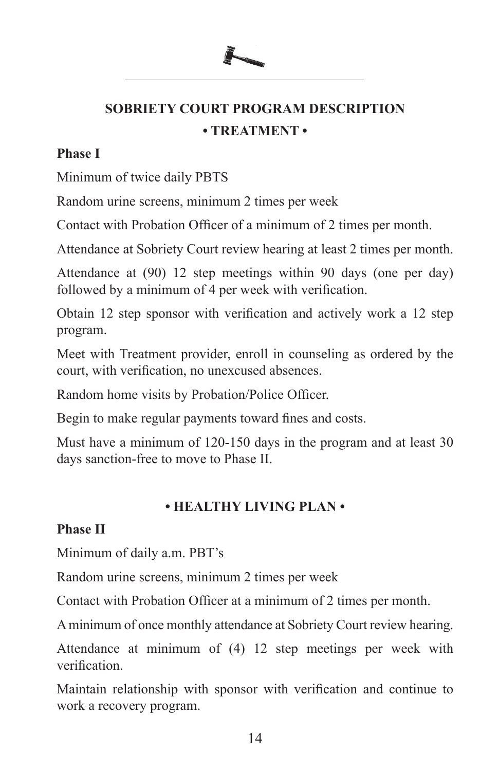# **SOBRIETY COURT PROGRAM DESCRIPTION • TREATMENT •**

### **Phase I**

Minimum of twice daily PBTS

Random urine screens, minimum 2 times per week

Contact with Probation Officer of a minimum of 2 times per month.

Attendance at Sobriety Court review hearing at least 2 times per month.

Attendance at (90) 12 step meetings within 90 days (one per day) followed by a minimum of 4 per week with verification.

Obtain 12 step sponsor with verification and actively work a 12 step program.

Meet with Treatment provider, enroll in counseling as ordered by the court, with verification, no unexcused absences.

Random home visits by Probation/Police Officer.

Begin to make regular payments toward fines and costs.

Must have a minimum of 120-150 days in the program and at least 30 days sanction-free to move to Phase II.

# **• HEALTHY LIVING PLAN •**

# **Phase II**

Minimum of daily a.m. PBT's

Random urine screens, minimum 2 times per week

Contact with Probation Officer at a minimum of 2 times per month.

A minimum of once monthly attendance at Sobriety Court review hearing.

Attendance at minimum of (4) 12 step meetings per week with verification.

Maintain relationship with sponsor with verification and continue to work a recovery program.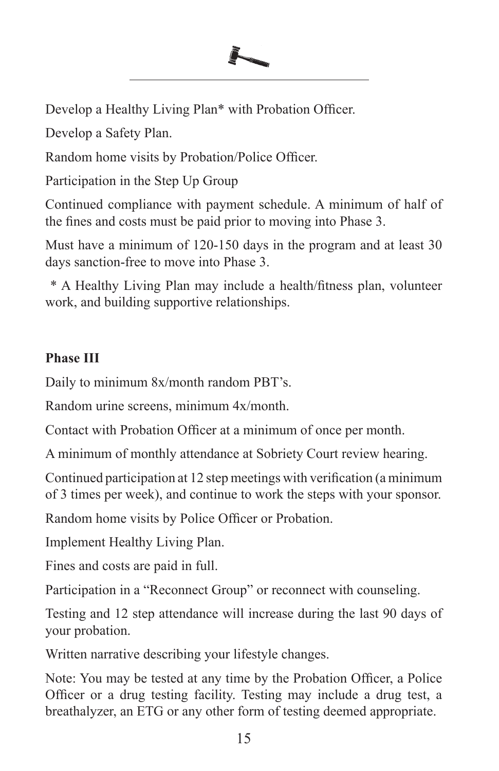Develop a Healthy Living Plan\* with Probation Officer.

Develop a Safety Plan.

Random home visits by Probation/Police Officer.

Participation in the Step Up Group

Continued compliance with payment schedule. A minimum of half of the fines and costs must be paid prior to moving into Phase 3.

Must have a minimum of 120-150 days in the program and at least 30 days sanction-free to move into Phase 3.

 \* A Healthy Living Plan may include a health/fitness plan, volunteer work, and building supportive relationships.

# **Phase III**

Daily to minimum 8x/month random PBT's.

Random urine screens, minimum 4x/month.

Contact with Probation Officer at a minimum of once per month.

A minimum of monthly attendance at Sobriety Court review hearing.

Continued participation at 12 step meetings with verification (a minimum of 3 times per week), and continue to work the steps with your sponsor.

Random home visits by Police Officer or Probation.

Implement Healthy Living Plan.

Fines and costs are paid in full.

Participation in a "Reconnect Group" or reconnect with counseling.

Testing and 12 step attendance will increase during the last 90 days of your probation.

Written narrative describing your lifestyle changes.

Note: You may be tested at any time by the Probation Officer, a Police Officer or a drug testing facility. Testing may include a drug test, a breathalyzer, an ETG or any other form of testing deemed appropriate.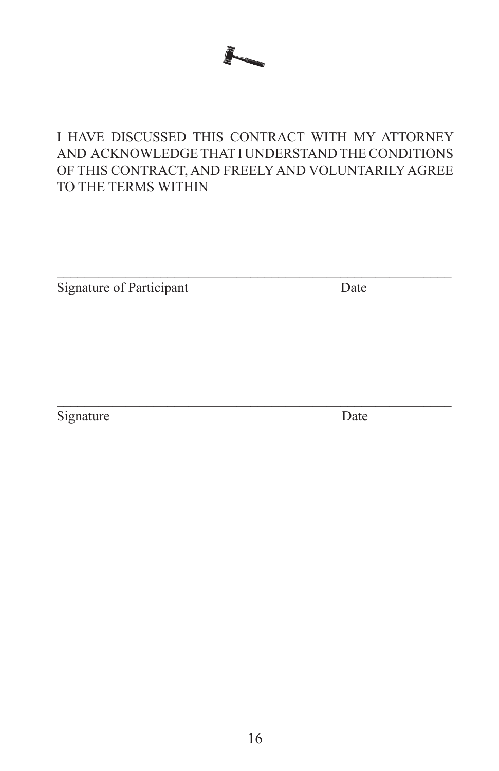

# I HAVE DISCUSSED THIS CONTRACT WITH MY ATTORNEY AND ACKNOWLEDGE THAT I UNDERSTAND THE CONDITIONS OF THIS CONTRACT, AND FREELY AND VOLUNTARILY AGREE TO THE TERMS WITHIN

 $\mathcal{L}_\text{max} = \mathcal{L}_\text{max} = \mathcal{L}_\text{max} = \mathcal{L}_\text{max} = \mathcal{L}_\text{max} = \mathcal{L}_\text{max} = \mathcal{L}_\text{max} = \mathcal{L}_\text{max} = \mathcal{L}_\text{max} = \mathcal{L}_\text{max} = \mathcal{L}_\text{max} = \mathcal{L}_\text{max} = \mathcal{L}_\text{max} = \mathcal{L}_\text{max} = \mathcal{L}_\text{max} = \mathcal{L}_\text{max} = \mathcal{L}_\text{max} = \mathcal{L}_\text{max} = \mathcal{$ 

Signature of Participant Date

 $\mathcal{L}_\text{max} = \mathcal{L}_\text{max} = \mathcal{L}_\text{max} = \mathcal{L}_\text{max} = \mathcal{L}_\text{max} = \mathcal{L}_\text{max} = \mathcal{L}_\text{max} = \mathcal{L}_\text{max} = \mathcal{L}_\text{max} = \mathcal{L}_\text{max} = \mathcal{L}_\text{max} = \mathcal{L}_\text{max} = \mathcal{L}_\text{max} = \mathcal{L}_\text{max} = \mathcal{L}_\text{max} = \mathcal{L}_\text{max} = \mathcal{L}_\text{max} = \mathcal{L}_\text{max} = \mathcal{$ Signature Date